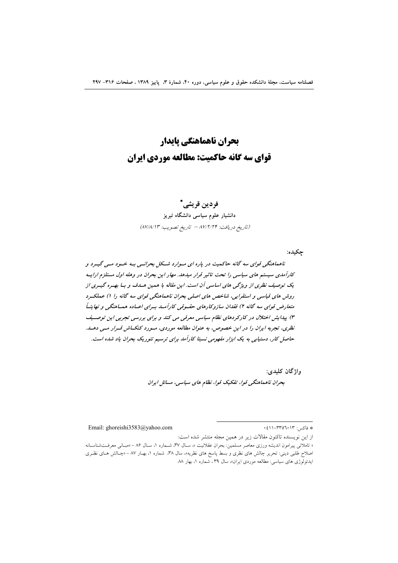# بحران ناهماهنگي ياپدار قوای سه گانه حاکمیت: مطالعه موردی ایران

## فردین قریشے، \*

دانشیار علوم سیاسی دانشگاه تبریز (تاريخ دريافت: ٨٧/٢/٢۴ - تاريخ تصويب: ٨٧/٨/١٣)

حكىدە:

ناهماهنگی قوای سه گانه حاکمیت در یاره ای مسوارد شکل بحرانسی بـه خسود مـی گیـرد و کارآمدی سیستم های سیاسی را تحت تاثیر قرار میدهد. مهار این بحران در وهله اول مستلزم ارایـه یک توصیف نظری از ویژگی های اساسی آن است. این مقاله با همین هساف و بیا بهتره گیتری از روش های قیاسی و استقرایی، شاخص های اصلی بحران ناهماهنگی قوای سه گانه را ۱) عملک رد متعارض قوای سه گانه ۲) فقدان سازوکارهای حقسوقی کارآملد بسرای اعساده همساهنگی و نهایتیاً ۳) پیدایش اختلال در کارکردهای نظام سیاسی معرفی می کند و برای بررسی تجربی این توصیف نظری، تجربه ایران را در این خصوص، به عنوان مطالعه موردی، مسورد کنکساش قسرار مسی دهسد. حاصل کار، دستیابی به یک ابزار مفهومی نسبتا کارآمد برای ترسیم تئوریک بحران یاد شده است.

> واژگان كليدي: بحران ناهماهنگی قوا، تفکیک قوا، نظام های سیاسی، مسائل ایران

Email: ghoreishi3583@yahoo.com

\* فاكس: ۲۳۵٦٠١٣-١١.

از این نویسنده تاکنون مقالات زیر در همین مجله منتشر شده است:

<sup>«</sup> تاملاتی پیرامون اندیشه ورزی معاصر مسلمین: بحران عقلانیت »، سـال ۳۷، شــماره ۱، سـال ۸۶ – «مبـانی معرفــتشناسـانه اصلاح طلبی دینی: تحریر چالش های نظری و بسط پاسخ های نظریه»، سال ۳۸، شماره ۱، بهـار ۸۷ – «چـالش هـای نظـری ایدئولوژی های سیاسی: مطالعه موردی ایران»، سال ۳۹، شماره ۱، بهار ۸۸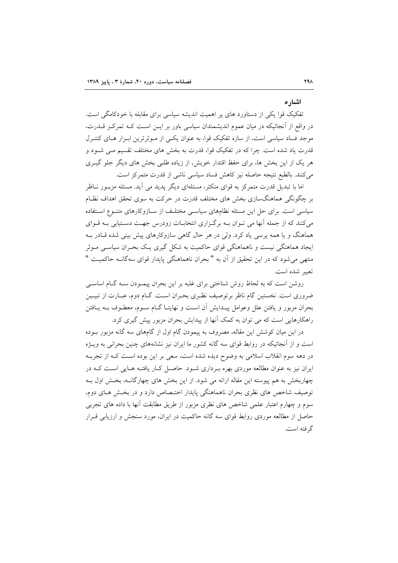## اشار ہ

تفکیک قوا یکی از دستاورد های پر اهمیت اندیشه سیاسی برای مقابله با خودکامگی است. در واقع از اّنجائیکه در میان عموم اندیشمندان سیاسی باور بر ایــن اســت کــه تمرکــز قــدرت، موجد فساد سیاسی است، از سازه تفکیک قوا، به عنوان یکی از مـوثرترین ابـزار هـای کنتـرل قدرت یاد شده است. چرا که در تفکیک قوا، قدرت به بخش های مختلف تقسیم مـی شـود و هر یک از این بخش ها، برای حفظ اقتدار خویش، از زیاده طلبی بخش های دیگر جلو گیـری مى كنند. بالطبع نتيجه حاصله نيز كاهش فساد سياسى ناشى از قدرت متمركز است.

اما با تبدیل قدرت متمرکز به قوای متکثر، مسئلهای دیگر پدید می آید. مسئله مزبـور نــاظر بر چگونگی هماهنگسازی بخش های مختلف قدرت در حرکت به سوی تحقق اهداف نظـام سیاسی است. برای حل این مسئله نظامهای سیاسی مختلف از سـازوکارهای متنـوع اسـتفاده می کنند که از جمله آنها می تـوان بــه برگـزاری انتخابــات زودرس جهــت دســتیابی بــه قــوای هماهنگ و یا همه پرسی یاد کرد. ولی در هر حال گاهی سازوکارهای پیش بینی شده قـادر بـه ایجاد هماهنگی نیست و ناهماهنگی قوای حاکمیت به شکل گیری یک بحـران سیاسـی مـوثر منتهی می شود که در این تحقیق از آن به "بحران ناهماهنگی پایدار قوای سهگانـه حاکمیـت " تعبير شده است.

روشن است که به لحاظ روش شناختی برای غلبه بر این بحران پیمـودن سـه گـام اساسـی ضروری است. نخستین گام ناظر برتوصیف نظـری بحـران اسـت. گـام دوم، عبـارت از تبیـین بحران مزبور و يافتن علل وعوامل پيـدايش آن اسـت و نهايتـا گــام ســوم، معطــوف بــه يــافتن راهکارهایی است که می توان به کمک آنها از پیدایش بحران مزبور پیش گیری کرد.

در این میان کوشش این مقاله، مصروف به پیمودن گام اول از گامهای سه گانه مزبور بـوده است و از آنجائیکه در روابط قوای سه گانه کشور ما ایران نیز نشانههای چنین بحرانی به ویـژه در دهه سوم انقلاب اسلامی به وضوح دیده شده است، سعی بر این بوده است کـه از تجربـه ایران نیز به عنوان مطالعه موردی بهره بـرداری شـود. حاصـل کـار یافتـه هـایی اسـت کـه در چهاربخش به هم پیوسته این مقاله ارائه می شود. از این بخش های چهارگانــه، بخـش اول بــه توصیف شاخص های نظری بحران ناهماهنگی پایدار اختـصاص دارد و در بخـش هـای دوم، سوم و چهارم اعتبار علمی شاخص های نظری مزبور از طریق مطابقت آنها با داده های تجربی حاصل از مطالعه موردی روابط قوای سه گانه حاکمیت در ایران، مورد سنجش و ارزیابی قـرار گ فته است.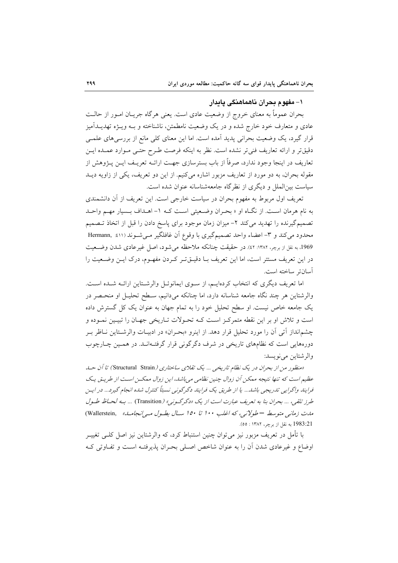## ۱– مفهوم بحران ناهماهنگی یابدار

بحران عموماً به معنای خروج از وضعیت عادی است. یعنی هرگاه جریــان امــور از حالــت عادی و متعارف خود خارج شده و در یک وضعیت نامطمئن، ناشناخته و بــه ویــژه تهدیــدآمیز قرار گیرد، یک وضعیت بحرانی پدید آمده است. اما این معنای کلی مانع از بررسیهای علمـی دقيقتر و ارائه تعاريف فني تر نشده است. نظر به اينكه فرصت طـرح حتـي مـوارد عمـده ايـن تعاریف در اینجا وجود ندارد، صرفاً از باب بسترسازی جهت ارائــه تعریــف ایــن پــژوهش از مقوله بحران، به دو مورد از تعاریف مزبور اشاره میکنیم. از این دو تعریف، یکی از زاویه دیـد سیاست بین|لملل و دیگری از نظر گاه جامعهشناسانه عنوان شده است.

تعریف اول مربوط به مفهوم بحران در سیاست خارجی است. این تعریف از آن دانشمندی به نام هرمان است. از نگـاه او « بحـران وضـعیتی اسـت کـه ١- اهـداف بـسیار مهـم واحـد تصمیم گیرنده را تهدید می کند ۲– میزان زمان موجود برای پاسخ دادن را قبل از اتخاذ تـصمیم محدود می کند و ۳- اعضاء واحد تصمیمگیری با وقوع آن غافلگیر مـیشـوند (٤١١ : Hermann, 1969، به نقل از برچر، ۱۳۸۲: ٤٢). در حقيقت چنانكه ملاحظه مي شود، اصل غير عادي شدن وضعيت در این تعریف مستتر است، اما این تعریف بـا دقیــقتـر کــردن مفهــوم، درک ایــن وضــعیت را آسانتر ساخته است.

اما تعریف دیگری که انتخاب کردهایـم، از سـوی ایمانوئـل والرشـتاین ارائـه شـده اسـت. والرشتاین هر چند نگاه جامعه شناسانه دارد، اما چنانکه میدانیم، سـطح تحلیـل او منحـصر در یک جامعه خاص نیست. او سطح تحلیل خود را به تمام جهان به عنوان یک کل گسترش داده است و تلاش او بر این نقطه متمرکـز اسـت کـه تحـولات تـاریخی جهـان را تبیـین نمـوده و چشم|نداز آتی آن را مورد تحلیل قرار دهد. از اینرو «بحـران» در ادبیـات والرشـتاین نـاظر بـر دورههایی است که نظامهای تاریخی در شرف دگرگونی قرار گرفتهانـد. در همـین چـارچوب والرشتاين مي نويسد:

«منظور من از بحران در یک نظام تاریخی ... یک تقلای ساختاری (Structural Strain) تا آن حسله عظیم است که تنها نتیجه ممکن آن زوال چنین نظامی می باشد، این زوال ممکن است از طریت یک فرایند واگرایی تدریجی باشد... یا از طریق یک فرایند دگرگونی نسبتاً کنترل شده انجام گیرد... در ایس طرز تلقی، ... بحران بنا به تعریف عبارت است از یک «دگرگونی» (Transition) ... بـه لحـاظ طـول مدت زمانی متوسط – طولانی، که اغلب ۱۰۰ تا ۱۵۰ سال بطه ول می انجامله» (Wallerstein, .<br>1983:21 به نقل از برچر، ۱۳۸۲ : ٥٥).

با تأمل در تعریف مزبور نیز میتوان چنین استنباط کرد، که والرشتاین نیز اصل کلــی تغییــر اوضاع و غیرعادی شدن آن را به عنوان شاخص اصلی بحران پذیرفتـه اسـت و تفـاوتی کـه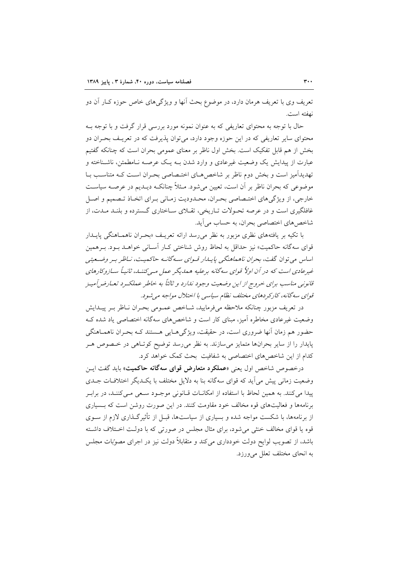تعریف وی با تعریف هرمان دارد، در موضوع بحث آنها و ویژگیهای خاص حوزه کـار آن دو نهفته است.

حال با توجه به محتوای تعاریفی که به عنوان نمونه مورد بررسی قرار گرفت و با توجه بـه محتوای سایر تعاریفی که در این حوزه وجود دارد، میتوان پذیرفت که در تعریـف بحـران دو بخش از هم قابل تفکیک است. بخش اول ناظر بر معنای عمومی بحران است که چنانکه گفتیم عبارت از پیدایش یک وضعیت غیرعادی و وارد شدن بــه یــک عرصــه نــامطمئن، ناشــناخته و تهدیدآمیز است و بخش دوم ناظر بر شاخص های اختـصاصی بحـران اسـت کـه متناسـب بـا موضوعی که بحران ناظر بر آن است، تعیین می شود. مـثلاً چنانکـه دیـدیم در عرصـه سیاسـت خارجي، از ويژگيهاي اختـصاصي بحـران، محـدوديت زمـاني بـراي اتخـاذ تـصميم و اصـل غافلگیری است و در عرصه تحـولات تـاریخی، تقـلای سـاختاری گـسترده و بلنـد مـدت، از شاخص هاي اختصاصي بحران، به حساب مي آيد.

با تکیه بر یافتههای نظری مزبور به نظر می رسد ارائه تعریـف «بحـران ناهمـاهنگی پایــدار قوای سهگانه حاکمیت» نیز حداقل به لحاظ روش شناختی کـار آسـانی خواهـد بـود. بـرهمین اساس می توان گفت، بحر*ان ناهماهنگی پایسار قوای سه گانـه حاک*میـت، *نـاظر بـر وض*ـعي*تي* غیرعادی است که در آن اولاً قوای سه گانه برعلیه همدیگر عمل می کننـد، ثانیـاً سـازوکارهای قانونی مناسب برای خروج از این وضعیت وجود ندارد و ثالثاً به خاطر عملک رد تعـارض آمیـز قواي سه گانه، كاركردهاي مختلف نظام سياسي با اختلال مواجه مي شود.

در تعریف مزبور چنانکه ملاحظه میفرمایید، شـاخص عمـومی بحـران نــاظر بــر پیــدایش وضعیت غیرعادی مخاطره آمیز، مبنای کار است و شاخصهای سهگانه اختصاصی یاد شده ک حضور هم زمان أنها ضروری است، در حقیقت، ویژگیهایی هستند کـه بحـران ناهمـاهنگی پایدار را از سایر بحرانها متمایز میسازند. به نظر می رسد توضیح کوتاهی در خصوص هـر كدام از اين شاخصهاي اختصاصي به شفافيت بحث كمك خواهد كرد.

درخصوص شاخص اول یعنی «عملکرد متعارض قوای سهگانه حاکمیت» باید گفت ایـن وضعیت زمانی پیش می آید که قوای سهگانه بنا به دلایل مختلف با یکـدیگر اختلافـات جـدی پیدا میکنند. به همین لحاظ با استفاده از امکانات قـانونی موجـود سـعی مـیکننـد، در برابـر برنامهها و فعالیتهای قوه مخالف خود مقاومت کنند. در این صورت روشن است که بسیاری از برنامهها، با شکست مواجه شده و بسیاری از سیاستها، قبـل از تأثیرگـذاری لازم از ســوی قوه یا قوای مخالف خنثی می شود، برای مثال مجلس در صورتی که با دولت اختلاف داشته باشد، از تصویب لوایح دولت خودداری می کند و متقابلاً دولت نیز در اجرای مصوّبات مجلس به انحای مختلف تعلل می ورزد.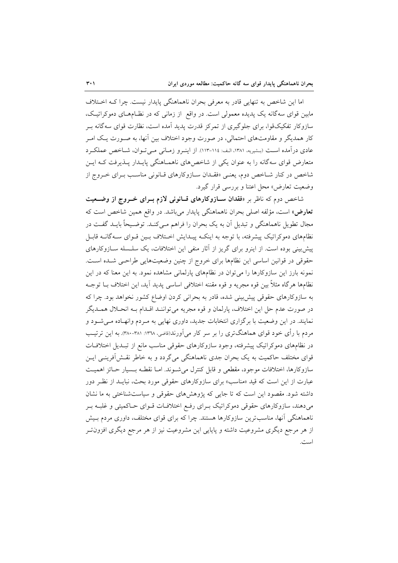اما این شاخص به تنهایی قادر به معرفی بحران ناهماهنگی پایدار نیست. چرا کـه اخـتلاف مابین قوای سهگانه یک پدیده معمولی است. در واقع از زمانی که در نظـامهـای دموکراتیـک، سازوکار تفکیکقوا، برای جلوگیری از تمرکز قدرت پدید آمده است، نظارت قوای سهگانه بـر کار همدیگر و مقاومتهای احتمالی، در صورت وجود اختلاف بین آنها، به صـورت یـک امـر عادي درآمده است (بشيريه، ١٣٨١، الف: ١١٤-١١٣). از اينرو زمـاني مـي تـوان، شـاخص عملكـرد متعارض قوای سهگانه را به عنوان یکی از شاخصهای ناهمـاهنگی پایـدار پـذیرفت کـه ایـن شاخص در کنار شـاخص دوم، یعنـی «فقـدان سـازوکارهای قـانونی مناسـب بـرای خـروج از وضعیت تعارض» محل اعتنا و بررسی قرار گیرد.

شاخص دوم که ناظر بر «فقدان سـازوکارهای قـانونی لازم بــرای خــروج از وضــعیت <mark>تعارض</mark>» است، مؤلفه اصلي بحران ناهماهنگي پايدار مي باشد. در واقع همين شاخص است كه مجال تطویل ناهماهنگی و تبدیل آن به یک بحران را فراهم مے کنـد. توضـیحاً بایـد گفـت در نظامهای دموکراتیک پیشرفته، با توجه به اینکـه پیـدایش اخـتلاف بـین قـوای سـهگانــه قابـل پیش بینی بوده است. از اینرو برای گریز از آثار منفی این اختلافات، یک سلـسله ســازوکارهای حقوقی در قوانین اساسی این نظامها برای خروج از چنین وضعیتهایی طراحی شده است. نمونه بارز این سازوکارها را میتوان در نظامهای پارلمانی مشاهده نمود. به این معنا که در این نظامها هرگاه مثلاً بين قوه مجريه و قوه مقننه اختلافي اساسي پديد آيد، اين اختلاف بــا توجــه به سازوکارهای حقوقی پیش بینی شده، قادر به بحرانی کردن اوضاع کشور نخواهد بود. چرا که در صورت عدم حل اين اختلاف، پارلمان و قوه مجريه مي تواننـد اقـدام بـه انحـلال همـديگر نمایند. در این وضعیت با برگزاری انتخابات جدید، داوری نهایی به مـردم وانهـاده مـیشـود و مردم با رأى خود قواى هماهنگترى را بر سر كار مى آورند(قاضى، ١٣٦٨: ٣٨١-٣٨٠). به اين ترتيب در نظامهای دموکراتیک پیشرفته، وجود سازوکارهای حقوقی مناسب مانع از تبـدیل اختلافـات قوای مختلف حاکمیت به یک بحران جدی ناهماهنگی می گردد و به خاطر نقش آفرینسی ایـن سازوكارها، اختلافات موجود، مقطعي و قابل كنترل مي شـوند. امـا نقطـه بـسيار حـائز اهميـت عبارت از این است که قید «مناسب» برای سازوکارهای حقوقی مورد بحث، نبایــد از نظـر دور داشته شود. مقصود این است که تا جایی که پژوهشهای حقوقی و سیاستشناختی به ما نشان می دهند، سازوکارهای حقوقی دموکراتیک بـرای رفـع اختلافـات قـوای حـاکمیتی و غلبـه بـر ناهماهنگی آنها، مناسبترین سازوکارها هستند. چرا که برای قوای مختلف، داوری مردم بـیش از هر مرجع دیگری مشروعیت داشته و پایایی این مشروعیت نیز از هر مرجع دیگری افزون تـر است.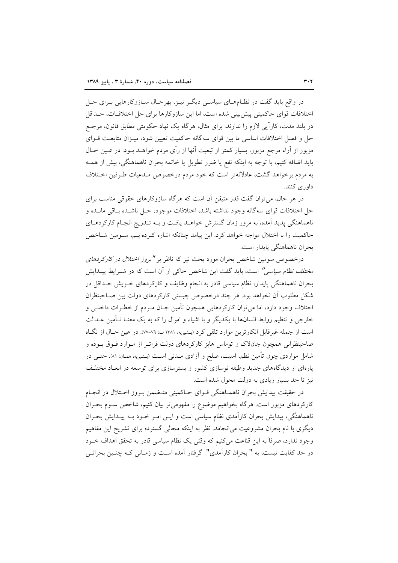در واقع باید گفت در نظـامهــای سیاســی دیگــر نیــز، بهرحــال ســازوکارهایی بــرای حــل اختلافات قواي حاكميتي پيش بيني شده است، اما اين سازوكارها براي حل اختلافات، حـداقل در بلند مدت، کاراً یی لازم را ندارند. برای مثال، هرگاه یک نهاد حکومتی مطابق قانون، مرجـع حل و فصل اختلافات اساسی ما بین قوای سهگانه حاکمیت تعیین شود، میـزان متابعـت قــوای مزبور از آراء مرجع مزبور، بسیار کمتر از تبعیت آنها از رأی مردم خواهــد بــود. در عــین حــال باید اضافه کنیم، با توجه به اینکه نفع یا ضرر تطویل یا خاتمه بحران ناهماهنگی، بیش از همـه به مردم برخواهد گشت، عادلانهتر است که خود مردم درخصوص مـدعيات طـرفين اخـتلاف داوری کنند.

در هر حال، می توان گفت قدر متیقن آن است که هرگاه سازوکارهای حقوقی مناسب برای حل اختلافات قواي سهگانه وجود نداشته باشد، اختلافات موجود، حـل ناشــده بــاقي مانــده و ناهماهنگی پدید آمده، به مرور زمان گسترش خواهـد یافـت و بــه تــدریج انجـام کارکردهـای حاکمیت را با اختلال مواجه خواهد کرد. این پیامد چنانکه اشاره کـردهایـم، سـومین شـاخص بحران ناهماهنگی پایدار است.

درخصوص سومین شاخص بحران مورد بحث نیز که ناظر بر *"بروز اختلال در کارکردهای مختلف نظام سیاسی"* است، باید گفت این شاخص حاک<sub>ی</sub> از آن است که در شــرایط ییــدایش بحران ناهماهنگی پایدار، نظام سیاسی قادر به انجام وظایف و کارکردهای خــویش حــداقل در شکل مطلوب آن نخواهد بود. هر چند درخصوص چیستی کارکردهای دولت بین صـاحبنظران اختلاف وجود دارد، اما می توان کارکردهایی همچون تأمین جـان مـردم از خطـرات داخلـی و خارجی و تنظیم روابط انسانها با یکدیگر و با اشیاء و اموال را که به یک معنـا تـأمین عــدالت است از جمله غیرقابل انکارترین موارد تلقی کرد (بشیریه، ۱۳۸۱ ب: ۷۹-۷۷). در عین حـال از نگـاه صاحبنظرانی همچون جانلاک و توماس هابز کارکردهای دولت فراتـر از مـوارد فـوق بـوده و شامل مواردی چون تأمین نظم، امنیت، صلح و آزادی مــدنی اســت (بـشیریه، همـان: ۸۱). حتــی در پارهای از دیدگاههای جدید وظیفه نوسازی کشور و بسترسازی برای توسعه در ابعـاد مختلـف نیز تا حد بسیار زیادی به دولت محول شده است.

در حقیقت پیدایش بحران ناهمـاهنگی قـوای حـاکمیتی متـضمن بـروز اخـتلال در انجـام کارکردهای مزبور است. هرگاه بخواهیم موضوع را مفهومیتر بیان کنیم، شاخص سـوم بحـران ناهماهنگی، پیدایش بحران کارآمدی نظام سیاسی است و ایـن امـر خـود بـه پیـدایش بحـران دیگری با نام بحران مشروعیت می|نجامد. نظر به اینکه مجالی گسترده برای تشریح این مفاهیم وجود ندارد، صرفاً به این قناعت میکنیم که وقتی یک نظام سیاسی قادر به تحقق اهداف خـود در حد کفایت نیست، به " بحران کارآمدی" گرفتار آمده است و زمـانی کـه چنـین بحرانـی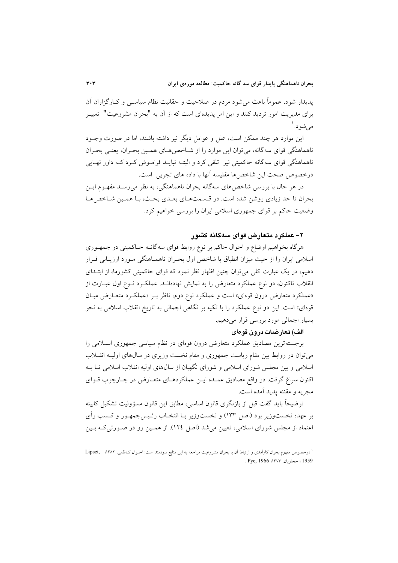پدیدار شود، عموماً باعث می شود مردم در صلاحیت و حقانیت نظام سیاسـی و کـارگزاران آن برای مدیریت امور تردید کنند و این امر پدیدهای است که از آن به "بحران مشروعیت" تعبیــر مے شو د. <sup>'</sup>

این موارد هر چند ممکن است، علل و عوامل دیگر نیز داشته باشند، اما در صورت وجــود ناهماهنگی قوای سه گانه، می توان این موارد را از شــاخص۵حـای همـین بحـران، یعنـی بحـران ناهماهنگی قوای سهگانه حاکمیتی نیز تلقی کرد و البتـه نبایــد فرامــوش کــرد کــه داور نهــایی درخصوص صحت این شاخص ها مقلیسه آنها با داده های تجربی است.

در هر حال با بررسی شاخص های سهگانه بحران ناهماهنگی، به نظر می رسـد مفهـوم ایـن بحران تا حد زیادی روشن شده است. در قـسمتهـای بعـدی بحـث، بـا همـین شـاخص هـا وضعیت حاکم بر قوای جمهوری اسلامی ایران را بررسی خواهیم کرد.

## ۲– عملکرد متعارض قوای سهگانه کشور

هرگاه بخواهیم اوضاع و احوال حاکم بر نوع روابط قوای سهگانـه حـاکمیتی در جمهـوری اسلامی ایران را از حیث میزان انطباق با شاخص اول بحـران ناهمـاهنگی مـورد ارزیـابی قـرار دهیم، در یک عبارت کلی می توان چنین اظهار نظر نمود که قوای حاکمیتی کشورما، از ابتـدای انقلاب تاکنون، دو نوع عملکرد متعارض را به نمایش نهادهانــد. عملکــرد نــوع اول عبــارت از «عملکرد متعارض درون قوهای» است و عملکرد نوع دوم، ناظر بـر «عملکـرد متعـارض ميـان قوهای» است. این دو نوع عملکرد را با تکیه بر نگاهی اجمالی به تاریخ انقلاب اسلامی به نحو بسیار اجمالی مورد بررسی قرار میدهیم.

## الف) تعارضات درون قوهای

برجستهترین مصادیق عملکرد متعارض درون قوهای در نظام سیاسی جمهوری اسـلامی را می توان در روابط بین مقام ریاست جمهوری و مقام نخست وزیری در سال&ای اولیــه انقــلاب اسلامی و بین مجلس شورای اسلامی و شورای نگهبان از سال های اولیه انقلاب اسلامی تــا بــه اکنون سراغ گرفت. در واقع مصادیق عمـده ایـن عملکردهـای متعـارض در چـارچوب قـوای مجر به و مقننه بدید آمده است.

توضيحاً بايد گفت قبل از بازنگرى قانون اساسى، مطابق اين قانون مسؤوليت تشكيل كابينه بر عهده نخستوزير بود (اصل ١٣٣) و نخستوزير بـا انتخـاب رئـيسجمهـور و كــسب رأي اعتماد از مجلس شورای اسلامی، تعیین میشد (اصل ١٢٤). از همـین رو در صـورتی٤کـه بـین

درخصوص مفهوم بحران كارآمدي و ارتباط آن با بحران مشروعيت مراجعه به اين منابع سودمند است: اخـوان كـاظمى، ١٣٨٢؛ , Lipset 1959 ؛ حجاريان، ١٣٧٣؛ Pye, 1966.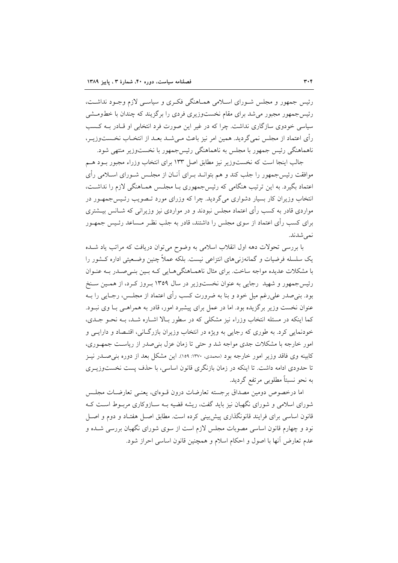رئیس جمهور و مجلس شـورای اسـلامی همـاهنگی فکـری و سیاسـی لازم وجـود نداشـت، رئیس جمهور مجبور می شد برای مقام نخستوزیری فردی را بر گزیند که چندان با خطومــشی سیاسی خودوی سازگاری نداشت. چرا که در غیر این صورت فرد انتخابی او قـادر بـه کـسب رأى اعتماد از مجلس نمى گرديد. همين امر نيز باعث مـي شــد بعــد از انتخــاب نخــستـوزيــر، ناهماهنگی رئیس جمهور با مجلس به ناهماهنگی رئیس جمهور با نخستوزیر منتهی شود.

جالب اینجا است که نخستوزیر نیز مطابق اصل ۱۳۳ برای انتخاب وزراء مجبور بـود هـم موافقت رئیس جمهور را جلب کند و هم بتوانـد بـرای آنــان از مجلــس شــورای اســلامی رأی اعتماد بگیرد. به این ترتیب هنگامی که رئیس جمهوری بــا مجلــس همــاهنگی لازم را نداشــت، انتخاب وزیران کار بسیار دشواری می گردید. چرا که وزرای مورد تـصویب رئـیس جمهـور در مواردی قادر به کسب رأی اعتماد مجلس نبودند و در مواردی نیز وزیرانی که شــانس بیــشتری برای کسب رأی اعتماد از سوی مجلس را داشتند، قادر به جلب نظـر مـساعد رئـیس جمهـور نمى شدند.

با بررسی تحولات دهه اول انقلاب اسلامی به وضوح می توان دریافت که مراتب یاد شـده یک سلسله فرضیات و گمانهزنی۵ای انتزاعی نیست. بلکه عملاً چنین وضـعیتی اداره کــشور را با مشکلات عدیده مواجه ساخت. برای مثال ناهمـاهنگیهـایی کـه بـین بنـیصـدر بـه عنـوان رئیس جمهور و شهید رجایی به عنوان نخستوزیر در سال ۱۳۵۹ بـروز کـرد، از همـین سـنخ بود. بنی صدر علی رغم میل خود و بنا به ضرورت کسب رأی اعتماد از مجلـس، رجــایی را بــه عنوان نخست وزیر برگزیده بود. اما در عمل برای پیشبرد امور، قادر به همراهـی بــا وی نبــود. کما اینکه در مسئله انتخاب وزراء نیز مشکلی که در سطور بـالا اشـاره شـد، بـه نحـو جـدی، خودنمایی کرد. به طوری که رجایی به ویژه در انتخاب وزیران بازرگــانی، اقتــصاد و دارایــی و امور خارجه با مشکلات جدی مواجه شد و حتی تا زمان عزل بنی صدر از ریاست جمهوری، کابینه وی فاقد وزیر امور خارجه بود (محمدی، ۱۳۷۰: ۱۰۵۹). این مشکل بعد از دوره بنی صـدر نیـز تا حدودی ادامه داشت. تا اینکه در زمان بازنگری قانون اساسی، با حذف پست نخستوزیــری به نحو نسبتاً مطلوبی مرتفع گردید.

اما درخصوص دومین مصداق برجسته تعارضات درون قبوهای، یعنبی تعارضیات مجلس شورای اسلامی و شورای نگهبان نیز باید گفت، ریشه قضیه بـه سـازوکاری مربـوط اسـت کـه قانون اساسی برای فرایند قانونگذاری پیش بینی کرده است. مطابق اصـل هفتـاد و دوم و اصـل نود و چهارم قانون اساسی مصوبات مجلس لازم است از سوی شورای نگهبان بررسی شــده و عدم تعارض أنها با اصول و احکام اسلام و همچنین قانون اساسی احراز شود.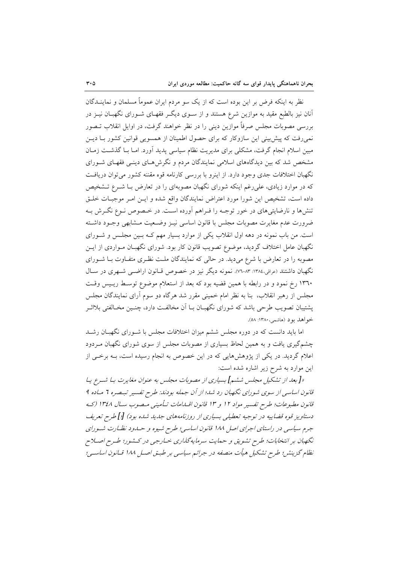نظر به اینکه فرض بر این بوده است که از یک سو مردم ایران عموماً مسلمان و نماینــدگان آنان نیز بالطبع مقید به موازین شرع هستند و از سـوی دیگـر فقهـای شـورای نگهبــان نیــز در بررسی مصوبات مجلس صرفاً موازین دینی را در نظر خواهند گرفت، در اوایل انقلاب تــصور نمی رفت که پیش بینی این سازوکار که برای حصول اطمینان از همسویی قوانین کشور بـا دیــن مبین اسلام انجام گرفت، مشکلی برای مدیریت نظام سیاسی پدید آورد. امـا بـا گذشــت زمــان مشخص شد که بین دیدگاههای اسلامی نمایندگان مردم و نگرشهـای دینـی فقهـای شـورای نگهبان اختلافات جدی وجود دارد. از اینرو با بررسی کارنامه قوه مقننه کشور می توان دریافت که در موارد زیادی، علی رغم اینکه شورای نگهبان مصوبهای را در تعارض بـا شـرع تــشخیص داده است، تشخیص این شورا مورد اعتراض نمایندگان واقع شده و ایـن امـر موجبـات خلـق تنشها و نارضایتیهای در خور توجـه را فـراهم آورده اسـت. در خـصوص نـوع نگـرش بـه ضرورت عدم مغايرت مصوبات مجلس با قانون اساسي نيـز وضـعيت مـشابهي وجـود داشـته است. من باب نمونه در دهه اول انقلاب یکی از موارد بسیار مهم کـه بـین مجلـس و شـورای نگهبان عامل اختلاف گردید، موضوع تصویب قانون کار بود. شورای نگهبـان مـواردی از ایــن مصوبه را در تعارض با شرع میدید. در حالی که نمایندگان ملـت نظـری متفـاوت بــا شــورای نگهبان داشتند (عراقی،۱۳۸٤: ۰۷۳–۷۲). نمونه دیگر نیز در خصوص قـانون اراضــی شــهری در سـال ۱۳٦۰ رخ نمود و در رابطه با همین قضیه بود که بعد از استعلام موضوع توسط ریس وقت مجلس از رهبر انقلاب، بنا به نظر امام خمینی مقرر شد هرگاه دو سوم آرای نمایندگان مجلس پشتیبان تصویب طرحی باشد که شورای نگهبــان بــا آن مخالفــت دارد، چنــین مخــالفتی بلااثــر خواهد بو د (هاشمې، ۱۳۸۰: ۵۸).

اما باید دانست که در دوره مجلس ششم میزان اختلافات مجلس با شــورای نگهبــان رشــد چشمگیری یافت و به همین لحاظ بسیاری از مصوبات مجلس از سوی شورای نگهبان مـردود اعلام گردید. در یکی از پژوهشهایی که در این خصوص به انجام رسیده است، بـه برخـی از این موارد به شرح زیر اشاره شده است:

«[بعد از تشکیل مجلس ششم] بسیاری از مصوبات مجلس به عنوان مغایرت بـا شـرع یـا قانون اساسی از سوی شورای نگهبان رد شد؛ از آن جمله بودند: طرح تفسیر تبصره 7 میاده ۹ قانون مطبوعات؛ طرح تفسير مواد ١٢ و ١٣ قانون اقسامات تـأميني مـصوب سـال ١٣٤٨ (كـه دستاویز قوه قضاییه در توجیه تعطیلی بسیاری از روزنامههای جدید شده بود) [!] طرح تعریف جرم سیاسی در راستای اجرای اصل ۱۸۸ قانون اساسی؛ طرح شیوه و حساود نظیارت شیورای نگهبان بر انتخابات؛ طرح تشویق و حمایت سرمایه گذاری خبارجی در کشور؛ طبرح اصلاح نظام گزینش؛ طرح تشکیل هیأت منصفه در جرائم سیاسی بر طبـق اصـل ۱۸۸ قــانون اساســی؛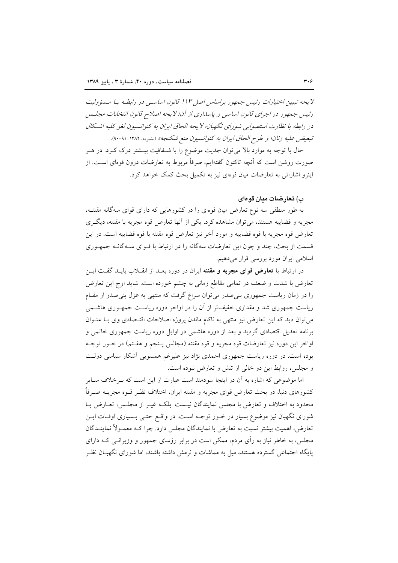لا يحه تبيين اختيارات رئيس جمهور براساس اصل ١١٣ قانون اساسي در رابطـه بـا مـسؤوليت رئيس جمهور در اجراي قانون اساسي و پاسداري از آن؛ لا يحه اصلاح قانون انتخابات مجلس در رابطه با نظارت استصوابي شوراي نگهبان؛ لا يحه الحاق ايران به كنوانسيون لغو كليه اشكال تبعيض عليه زنان؛ و طرح الحاق ايران به كنوانسيون منع شكنجه» (بشيريه، ١٣٨٢: ٩١-٩٠).

حال با توجه به موارد بالا میتوان جدیت موضوع را با شـفافیت بیــشتر درک کــرد. در هــر صورت روشن است که آنچه تاکنون گفتهایم، صرفاً مربوط به تعارضات درون قوهای اسـت. از اینرو اشاراتی به تعارضات میان قومای نیز به تکمیل بحث کمک خواهد کرد.

ب) تعارضات مدان قومای

به طور منطقی سه نوع تعارض میان قوهای را در کشورهایی که دارای قوای سهگانه مقننــه، مجریه و قضاییه هستند، میتوان مشاهده کرد. یکی از آنها تعارض قوه مجریه با مقننه، دیگری تعارض قوه مجريه با قوه قضاييه و مورد آخر نيز تعارض قوه مقننه با قوه قضاييه است. در اين قسمت از بحث، چند و چون این تعارضات سهگانه را در ارتباط با قـوای سـهگانـه جمهـوری اسلامی ایران مورد بررسی قرار میدهیم.

در ارتباط با **تعارض قوای مجریه و مقننه** ایران در دوره بعـد از انقــلاب بایــد گفــت ایــن تعارض با شدت و ضعف در تمامی مقاطع زمانی به چشم خورده است. شاید اوج این تعارض را در زمان ریاست جمهوری بنی صدر می توان سراغ گرفت که منتهی به عزل بنی صدر از مقـام ریاست جمهوری شد و مقداری خفیف تر از آن را در اواخر دوره ریاست جمه وری هاشـمی می توان دید که این تعارض نیز منتهی به ناکام ماندن پروژه اصلاحات اقتـصادی وی بـا عنـوان برنامه تعدیل اقتصادی گردید و بعد از دوره هاشمی در اوایل دوره ریاست جمهوری خاتمی و اواخر اين دوره نيز تعارضات قوه مجريه و قوه مقننه (مجالس پـنجم و هفـتم) در خــور توجــه بوده است. در دوره ریاست جمهوری احمدی نژاد نیز علیرغم همسویی آشکار سیاسی دولت و مجلس، روابط این دو خالی از تنش و تعارض نبوده است.

اما موضوعی که اشاره به آن در اینجا سودمند است عبارت از این است که بــرخلاف ســایر کشورهای دنیا، در بحث تعارض قوای مجریه و مقننه ایران، اختلاف نظـر قــوه مجریــه صــرفاً محدود به اختلاف و تعارض با مجلس نمایندگان نیست. بلکـه غیـر از مجلـس، تعـارض بـا شورای نگهبان نیز موضوع بسیار در خــور توجــه اســت. در واقــع حتــی بــسیاری اوقــات ایــن تعارض، اهمیت بیشتر نسبت به تعارض با نمایندگان مجلس دارد. چرا کـه معمـولاً نماینــدگان مجلس، به خاطر نیاز به رأی مردم، ممکن است در برابر رؤسای جمهور و وزیرانــی کــه دارای یایگاه اجتماعی گسترده هستند، میل به مماشات و نرمش داشته باشند، اما شورای نگهبـان نظـر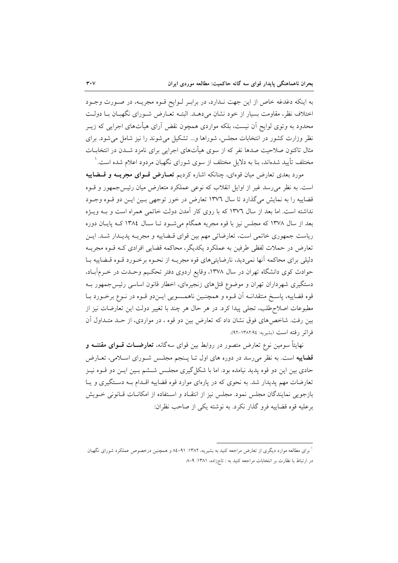به اینکه دغدغه خاص از این جهت نـدارد، در برابـر لـوایح قـوه مجریـه، در صـورت وجـود اختلاف نظر، مقاومت بسیار از خود نشان میدهـد. البتـه تعـارض شـورای نگهبـان بـا دولـت محدود به وتوی لوایح اَن نیست، بلکه مواردی همچون نقض اَرای هیأتهای اجرایی که زیـر نظر وزارت کشور در انتخابات مجلس، شوراها و... تشکیل می شوند را نیز شامل می شود. برای مثال تاکنون صلاحیت صدها نفر که از سوی هیأتهای اجرایی برای نامزد شــدن در انتخابــات مختلف تأیید شدهاند، بنا به دلایل مختلف از سوی شورای نگهبان مردود اعلام شده است. ٰ

مورد بعدی تعارض میان قوهای، چنانکه اشاره کردیم <mark>تعــارض قــوای مجریـــه و قـــضاییه</mark> است. به نظر می رسد غیر از اوایل انقلاب که نوعی عملکرد متعارض میان رئیس جمهور و قسوه قضاییه را به نمایش میگذارد تا سال ۱۳۷٦ تعارض در خور توجهی بـین ایـن دو قـوه وجـود نداشته است. اما بعد از سال ۱۳۷۲ که با روی کار آمدن دولت خاتمی همراه است و بـه ویـژه بعد از سال ۱۳۷۸ که مجلس نیز با قوه مجریه همگام می شـود تـا سـال ۱۳۸٤ کـه پایـان دوره ریاست جمهوری خاتمی است، تعارضاتی مهم بین قوای قـضاییه و مجریــه پدیــدار شــد. ایــن تعارض در حملات لفظی طرفین به عملکرد یکدیگر، محاکمه قضایی افرادی کـه قــوه مجریــه دلیلی برای محاکمه آنها نمیدید، نارضایتیهای قوه مجریـه از نحـوه برخـورد قـوه قـضاییه بـا حوادث کوی دانشگاه تهران در سال ۱۳۷۸، وقایع اردوی دفتر تحکیم وحـدت در خـرمآبـاد، دستگیری شهرداران تهران و موضوع قتلهای زنجیرهای، اخطار قانون اساسی رئیس جمهور بـه قوه قضاییه، پاسـخ منتقدانــه اَن قــوه و همچنــین ناهمــسویی ایــندو قــوه در نــوع برخــورد بــا مطبوعات اصلاح طلب، تجلَّى پيدا كرد. در هر حال هر چند با تغيير دولت اين تعارضات نيز از بین رفت. شاخصهای فوق نشان داد که تعارض بین دو قوه ، در مواردی، از حـد متـداول آن فراتر رفته است (بشيريه: ١٣٨٢:٩٤-٩٢).

نهایتاً سومین نوع تعارض متصور در روابط بین قوای سهگانه، **تعارضــات قــوای مقننــه و** قضاییه است. به نظر می رسد در دوره های اول تـا پـنجم مجلـس شـورای اسـلامی، تعـارض حادی بین این دو قوه پدید نیامده بود. اما با شکل گیری مجلـس شــشم بـین ایــن دو قــوه نیــز تعارضات مهم پدیدار شد. به نحوی که در پارهای موارد قوه قضاییه اقـدام بـه دسـتگیری و پـا بازجویی نمایندگان مجلس نمود. مجلس نیز از انتقـاد و اسـتفاده از امکانـات قـانونی خـویش برعليه قوه قضاييه فرو گذار نكرد. به نوشته يكي از صاحب نظران:

<sup>ٔ</sup> برای مطالعه موارد دیگری از تعارض مراجعه کنید به بشیریه، ۱۳۸۲: ۹۱-۸۶ و همچنین درخصوص عملکرد شورای نگهبان در ارتباط با نظارت بر انتخابات مراجعه كنيد به : تاجزاده، ١٣٨١: ٩–٨.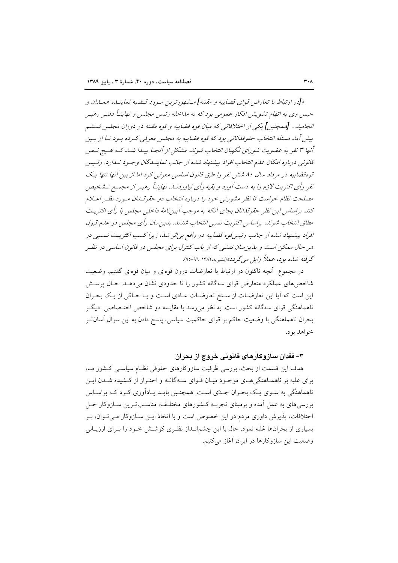«[در ارتباط با تعارض قواي قضاييه و مقننه] مـشهورترين مـورد قـضيه نماينــاه همــاان و حسن وی به اتهام تشویش افکار عمومی بود که به مداخله رئیس مجلس و نهایتـاً دفتـر رهبـر انجاميد... [همچنين] يكي از اختلافاتي كه ميان قوه قضاييه و قوه مقننه در دوران مجلس ششم پیش آمد مسئله انتخاب حقوقدانانی بود که قوه قضاییه به مجلس معرفی که ده بود تبا از بین آنها ۳ نفر به عضویت شورای نگهبان انتخاب شوند. مشکل از آنجیا پیدا شد. کـه هـیچ نـص قانونی درباره امکان عدم انتخاب افراد پیشنهاد شده از جانب نماینیدگان وجیود نیدارد. رئیس قوهقضاییه در مرداد سال ۸۰ ششر نفر را طبق قانون اساسی معرفی کرد اما از بین آنها تنها یک نفر رأی اکثریت لازم را به دست آورد و بقیه رأی نیاوردنــا. نهایتــاً رهبـر از مجمـع تــشخیص مصلحت نظام خواست تا نظر مشورتي خود را درباره انتخاب دو حقوقـلمان مـورد نظـر اعـلام کند. براساس این نظر حقوقدانان بجای آنکه به موجب آیین نامهٔ داخله ،مجلس با رأی اکثریت مطلق انتخاب شوند، براساس اكثريت نسبي انتخاب شدند. بدين سان رأى مجلس در عدم قبول افراد پیشنهاد شده از جانب رئیس قوه قضاییه در واقع براثر شد، زیرا کسب اکثریت نسبی در هر حال ممکن است و بدین سان نقشی که از باب کنترل برای مجلس در قانون اساسی در نظـر گرفته شده بود، عملاً زایل میگردد»(بشیریه،۱۳۸۲: ۹۱-۹۵).

در مجموع ِ آنچه تاکنون در ارتباط با تعارضات درون قوهای و میان قوهای گفتیم، وضعیت شاخص های عملکرد متعارض قوای سه گانه کشور را تا حدودی نشان می دهـد. حـال پرســش این است که آیا این تعارضات از سنخ تعارضات عـادی اسـت و یـا حـاکی از یـک بحـران ناهماهنگی قوای سهگانه کشور است. به نظر میررسد با مقایسه دو شاخص اختـصاصی ً دیگـر بحران ناهماهنگی با وضعیت حاکم بر قوای حاکمیت سیاسی، پاسخ دادن به این سوال آسانتـر خواهد بود.

۳– فقدان سازوکارهای قانونی خروج از بحران

هدف این قسمت از بحث، بررسی ظرفیت سازوکارهای حقوقی نظـام سیاسـی کـشور مـا، برای غلبه بر ناهمـاهنگی هـای موجـود میـان قـوای سـهگانـه و احتـراز از کـشیده شــدن ایــن ناهماهنگی به سـوی یـک بحـران جـلـتی اسـت. همچنـین بایـد یـادآوری کـرد کـه براسـاس بررسیهای به عمل آمده و برمبنای تجربـه کـشورهای مختلـف، مناسـبتـرین سـازوکار حـل اختلافات، پذیرش داوری مردم در این خصوص است و با اتخاذ ایــن ســازوکار مــیتـوان، بــر بسیاری از بحرانها غلبه نمود. حال با این چشمانـداز نظـری کوشــش خــود را بــرای ارزیــابی وضعیت این سازوکارها در ایران آغاز می کنیم.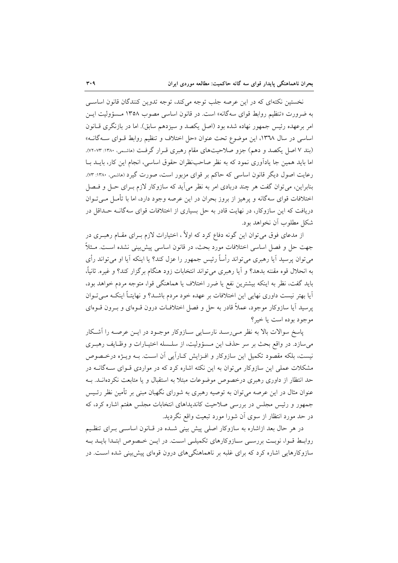نخستین نکتهای که در این عرصه جلب توجه میکند، توجه تدوین کنندگان قانون اساسی به ضرورت «تنظیم روابط قوای سهگانه» است. در قانون اساسی مصوب ۱۳۵۸ مـسؤولیت ایـن امر برعهده رئيس جمهور نهاده شده بود (اصل يكصد و سيزدهم سابق). اما در بازنگري قــانون اساسی در سال ۱۳٦۸، این موضوع تحت عنوان «حل اختلاف و تنظیم روابط قـوای سـهگانــه» (بند ۷ اصل یکصد و دهم) جزو صلاحیتهای مقام رهبری قـرار گرفـت (ماشـمی، ۱۳۸۰: ۷۳-۷۲). اما باید همین جا یادآوری نمود که به نظر صاحب ظران حقوق اساسی، انجام این کار، بایــد بــا رعایت اصول دیگر قانون اساسی که حاکم بر قوای مزبور است، صورت گیرد (ماشمی، ۱۳۸۰: ۷۳). بنابراین، می توان گفت هر چند دربادی امر به نظر می آید که سازوکار لازم بـرای حـل و فــصل اختلافات قوای سهگانه و پرهیز از بروز بحران در این عرصه وجود دارد، اما با تأمـل مـی تـوان دریافت که این سازوکار، در نهایت قادر به حل بسیاری از اختلافات قوای سهگانـه حـداقل در شکل مطلوب آن نخواهد بود.

از مدعای فوق میتوان این گونه دفاع کرد که اولاً ، اختیارات لازم بــرای مقــام رهبــری در جهت حل و فصل اساسی اختلافات مورد بحث، در قانون اساسی پیش بینی نشده اسـت. مـثلاً می توان پرسید آیا رهبری می تواند رأساً رئیس جمهور را عزل کند؟ یا اینکه آیا او می تواند رأی به انحلال قوه مقننه بدهد؟ و آيا رهبري ميتواند انتخابات زود هنگام برگزار كند؟ و غيره. ثانياً، باید گفت، نظر به اینکه بیشترین نفع یا ضرر اختلاف یا هماهنگی قوا، متوجه مردم خواهد بود، آیا بهتر نیست داوری نهایی این اختلافات بر عهده خود مردم باشـد؟ و نهایتـاً اینکـه مـیتـوان پرسید آیا سازوکار موجود، عملاً قادر به حل و فصل اختلافـات درون قــوهای و بــرون قــوهای موجود بوده است یا خیر؟

پاسخ سوالات بالا به نظر مـی(سـد نارسـایی سـازوکار موجـود در ایــن عرصــه را أشــکار می سازد. در واقع بحث بر سر حذف این مسؤولیت، از سلسله اختیـارات و وظـایف رهبـری نیست، بلکه مقصود تکمیل این سازوکار و افـزایش کـاراًیی آن اسـت. بـه ویـژه درخـصوص مشکلات عملی این سازوکار می توان به این نکته اشاره کرد که در مواردی قـوای سـهگانــه در حد انتظار از داوری رهبری درخصوص موضوعات مبتلا به استقبال و یا متابعت نکردهانــد. بــه عنوان مثال در این عرصه می توان به توصیه رهبری به شورای نگهبان مبنی بر تأمین نظر رئـیس جمهور و رئیس مجلس در بررسی صلاحیت کاندیداهای انتخابات مجلس هفتم اشاره کرد، که در حد مورد انتظار از سوی آن شورا مورد تبعیت واقع نگردید.

در هر حال بعد ازاشاره به سازوكار اصلي پيش بيني شـده در قـانون اساسـي بـراي تنظـيم روابط قـوا، نوبـت بررسـى سـازوكارهاى تكميلـى اسـت. در ايـن خـصوص ابتـدا بايـد بـه سازوکارهایی اشاره کرد که برای غلبه بر ناهماهنگیهای درون قوهای پیش بینی شده است. در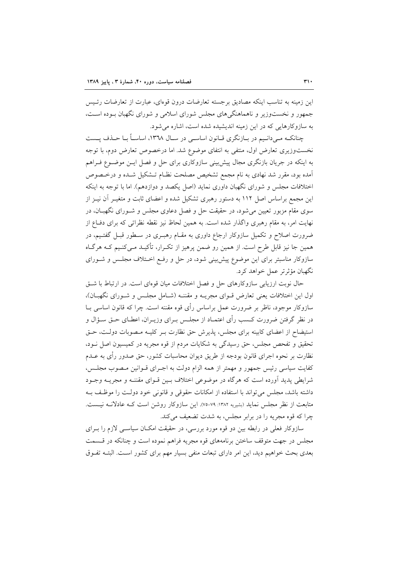این زمینه به تناسب اینکه مصادیق برجسته تعارضات درون قوءای، عبارت از تعارضات رئـیس جمهور و نخستوزیر و ناهماهنگیهای مجلس شورای اسلامی و شورای نگهبان ببوده است، به سازوکارهایی که در این زمینه اندیشیده شده است، اشاره می شود.

چنانکـه مـی دانـیم در بـازنگری قـانون اساسـی در سـال ١٣٦٨، اساسـاً بـا حـذف پــست نخستوزیری تعارض اول، منتفی به انتفای موضوع شد. اما درخصوص تعارض دوم، با توجه به اینکه در جریان بازنگری مجال پیش بینی سازوکاری برای حل و فصل ایـن موضـوع فـراهم آمده بود، مقرر شد نهادی به نام مجمع تشخیص مصلحت نظـام تـشکیل شـده و درخـصوص اختلافات مجلس و شورای نگهبان داوری نماید (اصل یکصد و دوازدهم). اما با توجه به اینکه این مجمع براساس اصل ۱۱۲ به دستور رهبری تشکیل شده و اعضای ثابت و متغیـر آن نیــز از سوی مقام مزبور تعیین می شود، در حقیقت حل و فصل دعاوی مجلس و شـورای نگهبــان، در نهایت امر، به مقام رهبری واگذار شده است. به همین لحاظ نیز نقطه نظراتی که برای دفــاع از ضرورت اصلاح و تکمیل سازوکار ارجاع داوری به مقــام رهبــری در ســطور قبــل گفتــیم، در همین جا نیز قابل طرح است. از همین رو ضمن پرهیز از تکـرار، تأکیـد مـیکنـیم کـه هرگـاه سازوکار مناسبتر برای این موضوع پیش بینی شود، در حل و رفع اختلاف مجلس و شـورای نگهبان مؤثرتر عمل خواهد کرد.

حال نوبت ارزیابی سازوکارهای حل و فصل اختلافات میان قوهای است. در ارتباط با شت اول این اختلافات یعنی تعارض قـوای مجریـه و مقننـه (شـامل مجلـس و شـورای نگهبـان)، سازوکار موجود، ناظر بر ضرورت عمل براساس رأى قوه مقننه است. چرا که قانون اساسى بــا در نظر گرفتن ضرورت کــسب رأى اعتمــاد از مجلــس بــراى وزيــران، اعطــاى حــق ســؤال و استیضاح از اعضای کابینه برای مجلس، پذیرش حق نظارت بـر کلیــه مـصوبات دولـت، حـق تحقیق و تفحص مجلس، حق رسیدگی به شکایات مردم از قوه مجریه در کمیسیون اصل نـود، نظارت بر نحوه اجرای قانون بودجه از طریق دیوان محاسبات کشور، حق صدور رأی به عــدم كفايت سياسي رئيس جمهور و مهمتر از همه الزام دولت به اجـراي قـوانين مـصوب مجلـس، شرایطی پدید آورده است که هرگاه در موضوعی اختلاف بـین قـوای مقننـه و مجریــه وجــود داشته باشد، مجلس می تواند با استفاده از امکانات حقوقی و قانونی خود دولت را موظف بـه متابعت از نظر مجلس نماید (بشیریه ۱۳۸۲: ۷۹-۷۵). این سازوکار روشن است کـه عادلانـه نیـست. چرا که قوه مجریه را در برابر مجلس، به شدت تضعیف می کند.

سازوکار فعلی در رابطه بین دو قوه مورد بررسی، در حقیقت امکـان سیاسـی لازم را بـرای مجلس در جهت متوقف ساختن برنامههای قوه مجریه فراهم نموده است و چنانکه در قـسمت بعدی بحث خواهیم دید، این امر دارای تبعات منفی بسیار مهم برای کشور است. البتـه تفـوق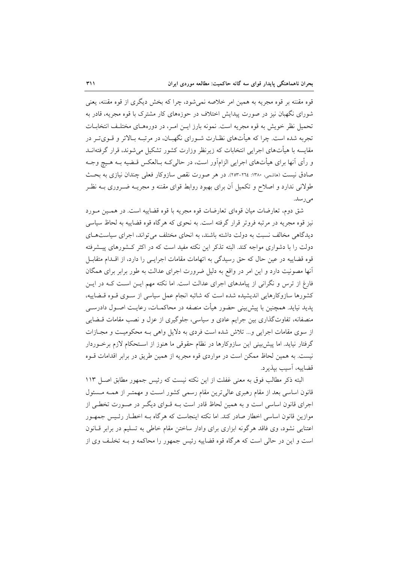قوه مقننه بر قوه مجریه به همین امر خلاصه نمی شود، چرا که بخش دیگری از قوه مقننه، یعنی شورای نگهبان نیز در صورت پیدایش اختلاف در حوزههای کار مشترک با قوه مجریه، قادر به تحمیل نظر خویش به قوه مجریه است. نمونه بارز ایـن امـر، در دورههـای مختلـف انتخابــات تجربه شده است. چرا که هیأتهای نظـارت شـورای نگهبـان، در مرتبـه بـالاتر و قـویتـر در مقایسه با هیأتهای اجرایی انتخابات که زیرنظر وزارت کشور تشکیل می شوند، قرار گرفتهانــد و رأى أنها براى هيأتهاى اجرايي الزامآور است، در حالي كـه بـالعكس قـضيه بـه هـيچ وجـه صادق نیست (ماشمی، ۱۳۸۰: ۲۰۲ـ-۲۰۳). در هر صورت نقص سازوکار فعلی چندان نیازی به بحث طولانی ندارد و اصلاح و تکمیل آن برای بهبود روابط قوای مقننه و مجریــه ضــروری بــه نظــر مى رسد.

شق دوم، تعارضات ميان قوهاي تعارضات قوه مجريه با قوه قضاييه است. در همـين مـورد نیز قوه مجریه در مرتبه فروتر قرار گرفته است. به نحوی که هرگاه قوه قضاییه به لحاظ سیاسی دیدگاهی مخالف نسبت به دولت داشته باشند، به انحای مختلف می تواند، اجرای سیاستهای دولت را با دشواری مواجه کند. البته تذکر این نکته مفید است که در اکثر کـشورهای پیــشرفته قوه قضاییه در عین حال که حق رسیدگی به اتهامات مقامات اجرایـی را دارد، از اقـدام متقابـل آنها مصونیت دارد و این امر در واقع به دلیل ضرورت اجرای عدالت به طور برابر برای همگان فارغ از ترس و نگرانی از پیامدهای اجرای عدالت است. اما نکته مهم ایــن اسـت کــه در ایــن کشورها سازوکارهایی اندیشیده شده است که شائبه انجام عمل سیاسی از سـوی قـوه قـضاییه، پدید نیاید. همچنین با پیش بینی حضور هیأت منصفه در محاکمـات، رعایـت اصـول دادرســی منصفانه، تفاوتگذاری بین جرایم عادی و سیاسی، جلوگیری از عزل و نصب مقامات قبضایی از سوی مقامات اجرایی و... تلاش شده است فردی به دلایل واهی بـه محکومیـت و مجـازات گرفتار نیاید. اما پیش بینی این سازوکارها در نظام حقوقی ما هنوز از استحکام لازم برخوردار نیست. به همین لحاظ ممکن است در مواردی قوه مجریه از همین طریق در برابر اقدامات قـوه قضاييه، آسيب بپذيرد.

البته ذکر مطالب فوق به معنی غفلت از این نکته نیست که رئیس جمهور مطابق اصل ۱۱۳ قانون اساسی بعد از مقام رهبری عالی ترین مقام رسمی کشور است و مهمتـر از همـه مـسئول اجرای قانون اساسی است و به همین لحاظ قادر است بــه قــوای دیگــر در صــورت تخطــی از موازین قانون اساسی اخطار صادر کند. اما نکته اینجاست که هرگاه بـه اخطـار رئـیس جمهـور اعتنایی نشود، وی فاقد هرگونه ابزاری برای وادار ساختن مقام خاطی به تسلیم در برابر قـانون است و این در حالی است که هرگاه قوه قضاییه رئیس جمهور را محاکمه و بـه تخلـف وی از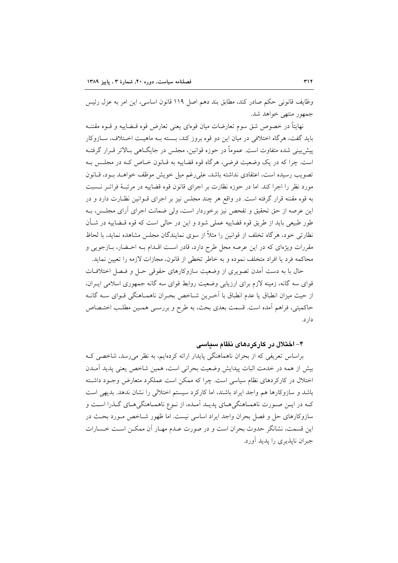وظايف قانوني حكم صادر كند، مطابق بند دهم اصل ١١٩ قانون اساسي، اين امر به عزل رئيس جمهور منتهى خواهد شد.

نهايتاً در خصوص شق سوم تعارضات ميان قوهاي يعني تعارض قوه قــضاييه و قــوه مقننــه بايد گفت، هرگاه اختلافي در ميان اين دو قوه بروز كند، بـسته بـه ماهيـت اخـتلاف، ســازوكار پیش بینی شده متفاوت است. عموماً در حوزه قوانین، مجلس در جایگــاهی بــالاتر قــرار گرفتــه است. چرا که در یک وضعیت فرضی، هرگاه قوه قضاییه به قـانون خـاص کـه در مجلـس بـه تصويب رسيده است، اعتقادي نداشته باشد، على رغم ميل خويش موظف خواهـد بـود، قـانون مورد نظر را اجرا كند. اما در حوزه نظارت بر اجراي قانون قوه قضاييه در مرتبـهٔ فراتـر نـسبت به قوه مقننه قرار گرفته است. در واقع هر چند مجلس نیز بر اجرای قــوانین نظـارت دارد و در این عرصه از حق تحقیق و تفحص نیز برخوردار است، ولی ضمانت اجرای آرای مجلـس، بـه طور طبیعی باید از طریق قوه قضاییه عملی شود و این در حالی است که قوه قــضاییه در شــأن نظارتی خود، هرگاه تخلف از قوانین را مثلاً از سوی نمایندگان مجلس مشاهده نماید، با لحاظ مقررات ویژهای که در این عرصه محل طرح دارد، قادر است اقـدام بـه احـضار، بـازجویی و محاكمه فرد يا افراد متخلف نموده و به خاطر تخطى از قانون، مجازات لازمه را تعيين نمايد.

حال با به دست آمدن تصویری از وضعیت سازوکارهای حقوقی حـل و فـصل اختلافـات قوای سه گانه، زمینه لازم برای ارزیابی وضعیت روابط قوای سه گانه جمهوری اسلامی ایـران، از حیث میزان انطباق یا عدم انطباق با اَخـرین شـاخص بحـران ناهمـاهنگی قـوای ســه گانــه حاكميتي، فراهم أمده است. قسمت بعدي بحث، به طرح و بررسـي همـين مطلـب اختـصاص دار د.

## ۴– اختلال در کارکردهای نظام سیاسی

براساس تعریفی که از بحران ناهماهنگی پایدار ارائه کردهایم، به نظر میرسد، شاخصی ک بیش از همه در خدمت اثبات پیدایش وضعیت بحرانی است، همین شاخص یعنی پدید آمــدن اختلال در کارکردهای نظام سیاسی است. چرا که ممکن است عملکرد متعارض وجـود داشـته باشد و سازوکارها هم واجد ایراد باشند، اما کارکرد سیستم اختلالی را نشان ندهد. بدیهی است کـه در ايــن صــورت ناهمــاهنگيهــاي پديــد اَمــده، از نــوع ناهمــاهنگيهــاي گــذرا اســت و سازوکارهای حل و فصل بحران واجد ایراد اساسی نیست. اما ظهور شـاخص مـورد بحـث در این قسمت، نشانگر حدوث بحران است و در صورت عـدم مهـار آن ممکـن اسـت خـسارات جبران نایذیری را یدید آورد.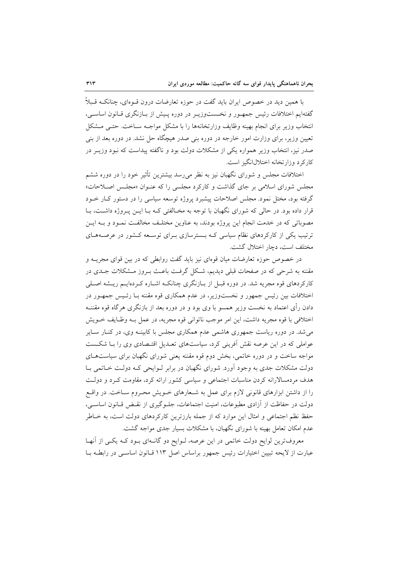با همین دید در خصوص ایران باید گفت در حوزه تعارضات درون قــوهای، چنانکــه قــبلاً گفتهایم اختلافات رئیس جمهـور و نخـستوزیـر در دوره پـیش از بـازنگری قــانون اساســی، انتخاب وزير براي انجام بهينه وظايف وزارتخانهها را با مشكل مواجـه سـاخت. حتـى مـشكل تعیین وزیر، برای وزارت امور خارجه در دوره بنی صدر هیچگاه حل نشد. در دوره بعد از بنی صدر نیز، انتخاب وزیر همواره یکی از مشکلات دولت بود و ناگفته پیداست که نبود وزیــر در کارکرد وزارتخانه اختلال انگیز است.

اختلافات مجلس و شورای نگهبان نیز به نظر میرسد بیشترین تأثیر خود را در دوره ششم مجلس شورای اسلامی بر جای گذاشت و کارکرد مجلسی را که عنـوان «مجلـس اصـلاحات» گرفته بود، مختل نمود. مجلس اصلاحات پیشبرد پروژه توسعه سیاسی را در دستور کIر خــود قرار داده بود. در حالی که شورای نگهبان با توجه به مخـالفتی کـه بـا ایــن پــروژه داشــت، بــا مصوباتی که در خدمت انجام این پروژه بودند، به عناوین مختلـف مخالفـت نمـود و بــه ایــن ترتیب یکی از کارکردهای نظام سیاسی کـه بـسترسازی بـرای توسـعه کـشور در عرصـههـای مختلف است، دچار اختلال گشت.

در خصوص حوزه تعارضات میان قوهای نیز باید گفت روابطی که در بین قوای مجریــه و مقننه به شرحی که در صفحات قبلی دیدیم، شکل گرفت باعث بـروز مـشکلات جـدی در کارکردهای قوه مجریه شد. در دوره قبـل از بـازنگری چنانکـه اشـاره کـردهایـم ریـشه اصـلـی اختلافات بین رئیس جمهور و نخستوزیر، در عدم همکاری قوه مقننه بـا رئـیس جمهـور در دادن رأی اعتماد به نخست وزیر همسو با وی بود و در دوره بعد از بازنگری هرگاه قوه مقننــه اختلافي با قوه مجريه داشت، اين امر موجب ناتواني قوه مجريه، در عمل بـه وظـايف خــويش می شد. در دوره ریاست جمهوری هاشمی عدم همکاری مجلس با کابینـه وی، در کنـار سـایر عواملی که در این عرصه نقش آفرینی کرد، سیاستهای تعـدیل اقتـصادی وی را بـا شکـست مواجه ساخت و در دوره خاتمی، بخش دوم قوه مقننه یعنی شورای نگهبان برای سیاستهای دولت مشکلات جدی به وجود اَورد. شورای نگهبان در برابر لـوایحی کـه دولـت خــاتمی بــا هدف مردمسالارانه کردن مناسبات اجتماعی و سیاسی کشور ارائه کرد، مقاومت کـرد و دولـت را از داشتن ابزارهای قانونی لازم برای عمل به شـعارهای خــویش محـروم ســاخت. در واقــع دولت در حفاظت از آزادی مطبوعات، امنیت اجتماعات، جلـوگیری از نقـض قـانون اساسـی، حفظ نظم اجتماعی و امثال این موارد که از جمله بارزترین کارکردهای دولت است، به خـاطر عدم امکان تعامل بهینه با شورای نگهبان، با مشکلات بسیار جدی مواجه گشت.

معروف ترین لوایح دولت خاتمی در این عرصه، لـوایح دو گانـهای بـود کـه یکـی از آنهـا عبارت از لایحه تبیین اختیارات رئیس جمهور براساس اصل ۱۱۳ قبانون اساسبی در رابطـه بــا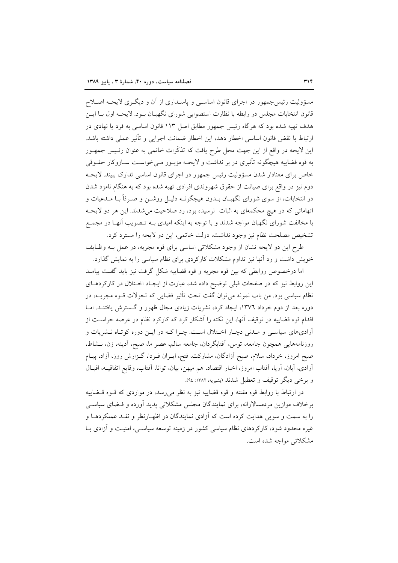مسؤولیت رئیس جمهور در اجرای قانون اساسـی و پاسـداری از آن و دیگـری لایحـه اصـلاح قانون انتخابات مجلس در رابطه با نظارت استصوابی شورای نگهبـان بـود. لایحـه اول بـا ایــن هدف تهیه شده بود که هرگاه رئیس جمهور مطابق اصل ۱۱۳ قانون اساسی به فرد یا نهادی در ارتباط با نقض قانون اساسی اخطار دهد، این اخطار ضمانت اجرایی و تأثیر عملی داشته باشد. این لایحه در واقع از این جهت محل طرح یافت که تذکّرات خاتمی به عنوان رئـیس جمهـور به قوه قضاییه هیچگونه تأثیری در بر نداشت و لایحـه مزبــور مــیخواســت ســازوکار حقــوقی خاص برای معنادار شدن مسؤولیت رئیس جمهور در اجرای قانون اساسی تدارک ببیند. لایحـه دوم نیز در واقع برای صیانت از حقوق شهروندی افرادی تهیه شده بود که به هنگام نامزد شدن در انتخابات، از سوی شورای نگهبـان بــدون هیچگونــه دلیــل روشــن و صــرفأ بــا مــدعیات و اتهاماتی که در هیچ محکمهای به اثبات نرسیده بود، رد صلاحیت می شدند. این هر دو لایحـه با مخالفت شورای نگهبان مواجه شدند و با توجه به اینکه امیدی بـه تـصویب آنهـا در مجمـع تشخیص مصلحت نظام نیز وجود نداشت، دولت خاتمی، این دو لایحه را مسترد کرد.

طرح این دو لایحه نشان از وجود مشکلاتی اساسی برای قوه مجریه، در عمل بـه وظـایف خویش داشت و رد آنها نیز تداوم مشکلات کارکردی برای نظام سیاسی را به نمایش گذارد.

اما درخصوص روابطی که بین قوه مجریه و قوه قضاییه شکل گرفت نیز باید گفت پیامـد این روابط نیز که در صفحات قبلی توضیح داده شد، عبارت از ایجـاد اخـتلال در کارکردهـای نظام سیاسی بود. من باب نمونه میتوان گفت تحت تأثیر فضایی که تحولات قــوه مجریــه، در دوره بعد از دوم خرداد ۱۳۷۲، ایجاد کرد، نشریات زیادی مجال ظهور و گـسترش یافتنــد. امــا اقدام قوه قضاییه در توقیف آنها، این نکته را آشکار کرد که کارکرد نظام در عرصه حراست از آزادیهای سیاسی و مـدنی دچـار اخـتلال اسـت. چـرا کـه در ایـن دوره کوتـاه نــشریات و روزنامههایی همچون جامعه، توس، آفتابگردان، جامعه سالم، عصر ما، صبح، آدینه، زن، نــشاط، صبح امروز، خرداد، سلام، صبح آزادگان، مشارکت، فتح، ایــران فــردا، گــزارش روز، آزاد، پیــام آزادي، آبان، آريا، آفتاب امروز، اخبار اقتصاد، هم ميهن، بيان، توانا، آفتاب، وقايع اتفاقيــه، اقبــال و برخي ديگر توقيف و تعطيل شدند (بشيريه، ١٣٨٢: ٩٤).

در ارتباط با روابط قوه مقننه و قوه قضاییه نیز به نظر می رسد، در مواردی که قـوه قـضاییه برخلاف موازین مردمسالارانه، برای نمایندگان مجلس مشکلاتی پدید آورده و فـضای سیاســی را به سمت و سویی هدایت کرده است که آزادی نمایندگان در اظهـارنظر و نقـد عملکردهـا و غیره محدود شود، کارکردهای نظام سیاسی کشور در زمینه توسعه سیاسی، امنیت و آزادی بــا مشکلاتی مواجه شده است.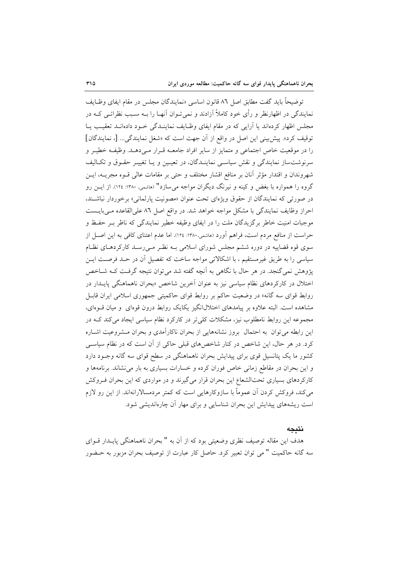توضيحاً بايد گفت مطابق اصل ٨٦ قانون اساسي «نمايندگان مجلس در مقام ايفاي وظـايف نمایندگی در اظهارنظر و رأی خود کاملاً آزادند و نمی تـوان آنهـا را بــه سـبب نظراتــی کــه در مجلس اظهار کردهاند یا آرایی که در مقام ایفای وظـایف نماینــدگی خــود دادهانــد تعقیــب یــا توقيف كرد». پيش بيني اين اصل در واقع از آن جهت است كه «شغل نمايندگي... [، نمايندگان] را در موقعیت خاص اجتماعی و متمایز از سایر افراد جامعــه قــرار مــی۵هــد. وظیفــه خطیــر و سرنوشتساز نمایندگی و نقش سیاسی نماینـدگان، در تعیـین و یـا تغییـر حقـوق و تکـالیف شهروندان و اقتدار مؤثر آنان بر منافع اقشار مختلف و حتى بر مقامات عالى قـوه مجريــه، ايــن گروه را همواره با بغض و کینه و نیرنگ دیگران مواجه می سازد" (هاشمی، ۱۳۸۰: ۱۲۶). از ایــن رو در صورتی که نمایندگان از حقوق ویژهای تحت عنوان «مصونیت پارلمانی» برخوردار نباشـند، احراز وظایف نمایندگی با مشکل مواجه خواهد شد. در واقع اصل ۸٦ علی القاعده می بایـست موجبات امنیت خاطر برگزیدگان ملت را در ایفای وظیفه خطیر نمایندگی که ناظر بـر حفـظ و حراست از منافع مردم است، فراهم آورد (هاشمي،١٣٨٠: ١٢٤). اما عدم اعتناى كافي به اين اصـل از سوی قوه قضاییه در دوره ششم مجلس شورای اسلامی بـه نظـر مـیرسـد کارکردهـای نظـام سیاسی را به طریق غیرمستقیم ، با اشکالاتی مواجه ساخت که تفصیل آن در حـد فرصـت ایـن پژوهش نمی گنجد. در هر حال با نگاهی به اَنچه گفته شد می توان نتیجه گرفت کـه شـاخص اختلال در کارکردهای نظام سیاسی نیز به عنوان آخرین شاخص «بحران ناهماهنگی پایــدار در روابط قوای سه گانه» در وضعیت حاکم بر روابط قوای حاکمیتی جمهوری اسلامی ایران قابـل مشاهده است. البته علاوه بر پیامدهای اختلالانگیز یکایک روابط درون قوهای و میان قــوهای، مجموعه این روابط نامطلوب نیز، مشکلات کلی تر در کارکرد نظام سیاسی ایجاد می کند کـه در این رابطه می توان به احتمال بروز نشانههایی از بحران ناکارآمدی و بحران مشروعیت اشباره کرد. در هر حال، این شاخص در کنار شاخصهای قبلی حاکی از آن است که در نظام سیاسی کشور ما یک پتانسیل قوی برای پیدایش بحران ناهماهنگی در سطح قوای سه گانه وجـود دارد و این بحران در مقاطع زمانی خاص فوران کرده و خسارات بسیاری به بار می نشاند. برنامهها و کارکردهای بسیاری تحتالشعاع این بحران قرار میگیرند و در مواردی که این بحران فـروکش می کند، فروکش کردن آن عموماً با سازوکارهایی است که کمتر مردمسالارانهاند. از این رو لازم است ریشههای پیدایش این بحران شناسایی و برای مهار آن چارهاندیشی شود.

## نتىحە

هدف این مقاله توصیف نظری وضعیتی بود که از آن به " بحران ناهماهنگی پایــدار قــوای سه گانه حاکمیت " می توان تعبیر کرد. حاصل کار عبارت از توصیف بحران مزبور به حـضور